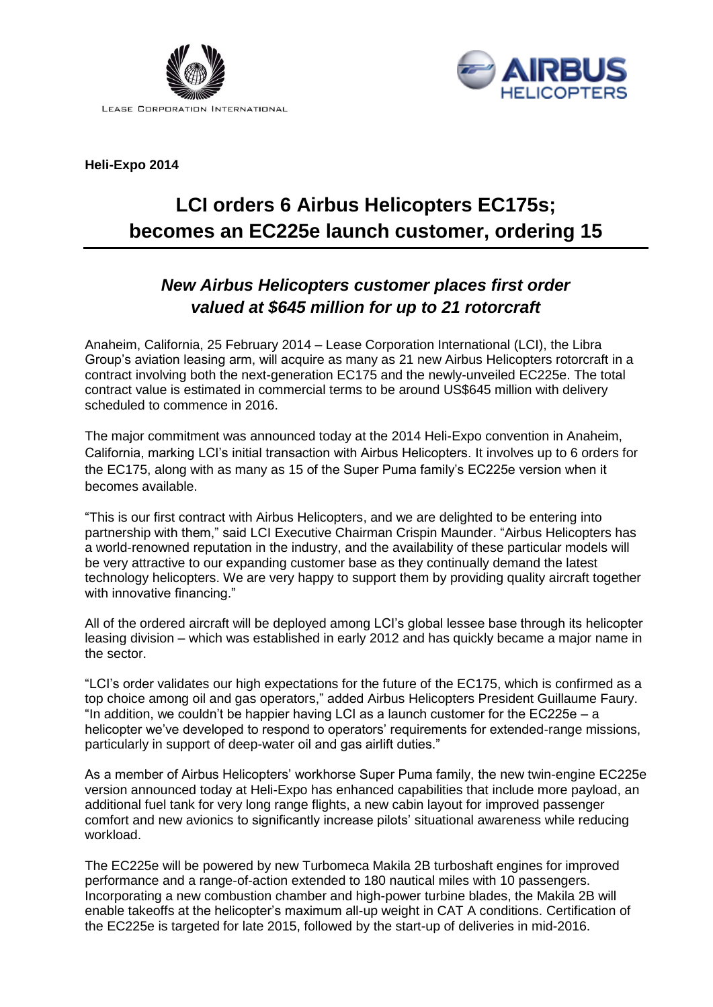



**Heli-Expo 2014**

# **LCI orders 6 Airbus Helicopters EC175s; becomes an EC225e launch customer, ordering 15**

## *New Airbus Helicopters customer places first order valued at \$645 million for up to 21 rotorcraft*

Anaheim, California, 25 February 2014 – Lease Corporation International (LCI), the Libra Group's aviation leasing arm, will acquire as many as 21 new Airbus Helicopters rotorcraft in a contract involving both the next-generation EC175 and the newly-unveiled EC225e. The total contract value is estimated in commercial terms to be around US\$645 million with delivery scheduled to commence in 2016.

The major commitment was announced today at the 2014 Heli-Expo convention in Anaheim, California, marking LCI's initial transaction with Airbus Helicopters. It involves up to 6 orders for the EC175, along with as many as 15 of the Super Puma family's EC225e version when it becomes available.

"This is our first contract with Airbus Helicopters, and we are delighted to be entering into partnership with them," said LCI Executive Chairman Crispin Maunder. "Airbus Helicopters has a world-renowned reputation in the industry, and the availability of these particular models will be very attractive to our expanding customer base as they continually demand the latest technology helicopters. We are very happy to support them by providing quality aircraft together with innovative financing."

All of the ordered aircraft will be deployed among LCI's global lessee base through its helicopter leasing division – which was established in early 2012 and has quickly became a major name in the sector.

"LCI's order validates our high expectations for the future of the EC175, which is confirmed as a top choice among oil and gas operators," added Airbus Helicopters President Guillaume Faury. "In addition, we couldn't be happier having LCI as a launch customer for the EC225e – a helicopter we've developed to respond to operators' requirements for extended-range missions, particularly in support of deep-water oil and gas airlift duties."

As a member of Airbus Helicopters' workhorse Super Puma family, the new twin-engine EC225e version announced today at Heli-Expo has enhanced capabilities that include more payload, an additional fuel tank for very long range flights, a new cabin layout for improved passenger comfort and new avionics to significantly increase pilots' situational awareness while reducing workload.

The EC225e will be powered by new Turbomeca Makila 2B turboshaft engines for improved performance and a range-of-action extended to 180 nautical miles with 10 passengers. Incorporating a new combustion chamber and high-power turbine blades, the Makila 2B will enable takeoffs at the helicopter's maximum all-up weight in CAT A conditions. Certification of the EC225e is targeted for late 2015, followed by the start-up of deliveries in mid-2016.